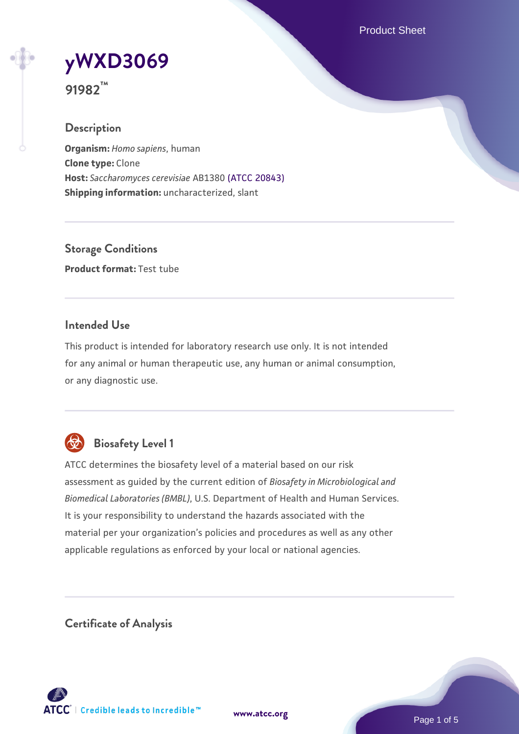Product Sheet

# **[yWXD3069](https://www.atcc.org/products/91982)**



# **Description**

**Organism:** *Homo sapiens*, human **Clone type:** Clone **Host:** *Saccharomyces cerevisiae* AB1380 [\(ATCC 20843\)](https://www.atcc.org/products/20843) **Shipping information:** uncharacterized, slant

**Storage Conditions Product format:** Test tube

# **Intended Use**

This product is intended for laboratory research use only. It is not intended for any animal or human therapeutic use, any human or animal consumption, or any diagnostic use.



# **Biosafety Level 1**

ATCC determines the biosafety level of a material based on our risk assessment as guided by the current edition of *Biosafety in Microbiological and Biomedical Laboratories (BMBL)*, U.S. Department of Health and Human Services. It is your responsibility to understand the hazards associated with the material per your organization's policies and procedures as well as any other applicable regulations as enforced by your local or national agencies.

**Certificate of Analysis**

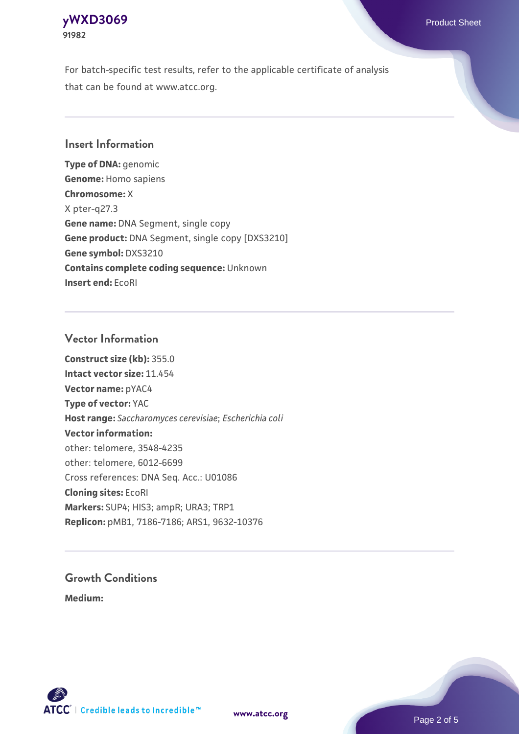# **[yWXD3069](https://www.atcc.org/products/91982)** Product Sheet **91982**

For batch-specific test results, refer to the applicable certificate of analysis that can be found at www.atcc.org.

# **Insert Information**

**Type of DNA:** genomic **Genome:** Homo sapiens **Chromosome:** X X pter-q27.3 **Gene name:** DNA Segment, single copy **Gene product:** DNA Segment, single copy [DXS3210] **Gene symbol:** DXS3210 **Contains complete coding sequence:** Unknown **Insert end:** EcoRI

# **Vector Information**

**Construct size (kb):** 355.0 **Intact vector size:** 11.454 **Vector name:** pYAC4 **Type of vector:** YAC **Host range:** *Saccharomyces cerevisiae*; *Escherichia coli* **Vector information:** other: telomere, 3548-4235 other: telomere, 6012-6699 Cross references: DNA Seq. Acc.: U01086 **Cloning sites:** EcoRI **Markers:** SUP4; HIS3; ampR; URA3; TRP1 **Replicon:** pMB1, 7186-7186; ARS1, 9632-10376

# **Growth Conditions**

**Medium:** 



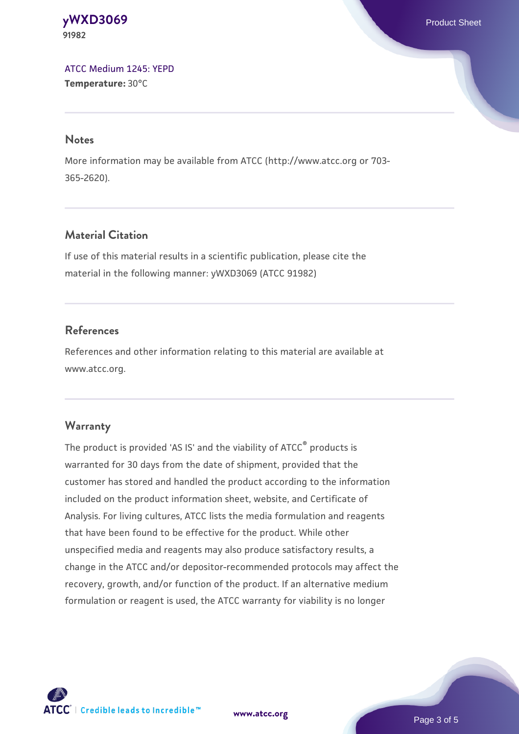**[yWXD3069](https://www.atcc.org/products/91982)** Product Sheet **91982**

[ATCC Medium 1245: YEPD](https://www.atcc.org/-/media/product-assets/documents/microbial-media-formulations/1/2/4/5/atcc-medium-1245.pdf?rev=705ca55d1b6f490a808a965d5c072196) **Temperature:** 30°C

#### **Notes**

More information may be available from ATCC (http://www.atcc.org or 703- 365-2620).

# **Material Citation**

If use of this material results in a scientific publication, please cite the material in the following manner: yWXD3069 (ATCC 91982)

# **References**

References and other information relating to this material are available at www.atcc.org.

### **Warranty**

The product is provided 'AS IS' and the viability of ATCC® products is warranted for 30 days from the date of shipment, provided that the customer has stored and handled the product according to the information included on the product information sheet, website, and Certificate of Analysis. For living cultures, ATCC lists the media formulation and reagents that have been found to be effective for the product. While other unspecified media and reagents may also produce satisfactory results, a change in the ATCC and/or depositor-recommended protocols may affect the recovery, growth, and/or function of the product. If an alternative medium formulation or reagent is used, the ATCC warranty for viability is no longer



**[www.atcc.org](http://www.atcc.org)**

Page 3 of 5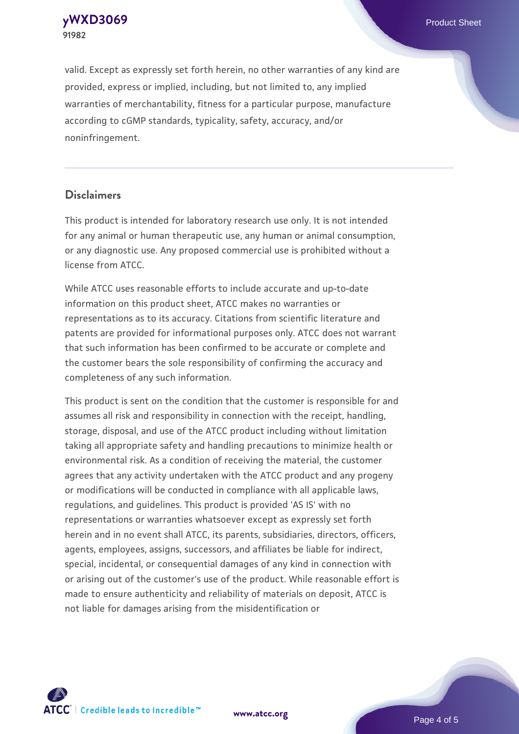**[yWXD3069](https://www.atcc.org/products/91982)** Product Sheet **91982**

valid. Except as expressly set forth herein, no other warranties of any kind are provided, express or implied, including, but not limited to, any implied warranties of merchantability, fitness for a particular purpose, manufacture according to cGMP standards, typicality, safety, accuracy, and/or noninfringement.

#### **Disclaimers**

This product is intended for laboratory research use only. It is not intended for any animal or human therapeutic use, any human or animal consumption, or any diagnostic use. Any proposed commercial use is prohibited without a license from ATCC.

While ATCC uses reasonable efforts to include accurate and up-to-date information on this product sheet, ATCC makes no warranties or representations as to its accuracy. Citations from scientific literature and patents are provided for informational purposes only. ATCC does not warrant that such information has been confirmed to be accurate or complete and the customer bears the sole responsibility of confirming the accuracy and completeness of any such information.

This product is sent on the condition that the customer is responsible for and assumes all risk and responsibility in connection with the receipt, handling, storage, disposal, and use of the ATCC product including without limitation taking all appropriate safety and handling precautions to minimize health or environmental risk. As a condition of receiving the material, the customer agrees that any activity undertaken with the ATCC product and any progeny or modifications will be conducted in compliance with all applicable laws, regulations, and guidelines. This product is provided 'AS IS' with no representations or warranties whatsoever except as expressly set forth herein and in no event shall ATCC, its parents, subsidiaries, directors, officers, agents, employees, assigns, successors, and affiliates be liable for indirect, special, incidental, or consequential damages of any kind in connection with or arising out of the customer's use of the product. While reasonable effort is made to ensure authenticity and reliability of materials on deposit, ATCC is not liable for damages arising from the misidentification or



**[www.atcc.org](http://www.atcc.org)**

Page 4 of 5